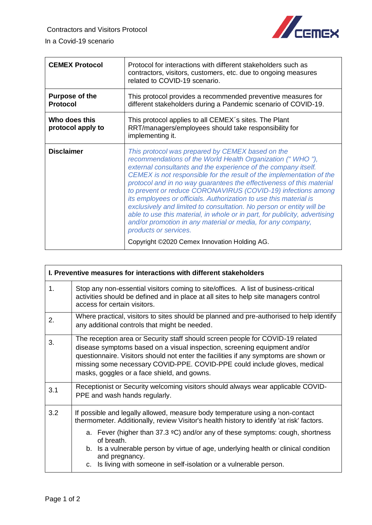

| <b>CEMEX Protocol</b>                    | Protocol for interactions with different stakeholders such as<br>contractors, visitors, customers, etc. due to ongoing measures<br>related to COVID-19 scenario.                                                                                                                                                                                                                                                                                                                                                                                                                                                                                                                                                                                                   |
|------------------------------------------|--------------------------------------------------------------------------------------------------------------------------------------------------------------------------------------------------------------------------------------------------------------------------------------------------------------------------------------------------------------------------------------------------------------------------------------------------------------------------------------------------------------------------------------------------------------------------------------------------------------------------------------------------------------------------------------------------------------------------------------------------------------------|
| <b>Purpose of the</b><br><b>Protocol</b> | This protocol provides a recommended preventive measures for<br>different stakeholders during a Pandemic scenario of COVID-19.                                                                                                                                                                                                                                                                                                                                                                                                                                                                                                                                                                                                                                     |
| Who does this<br>protocol apply to       | This protocol applies to all CEMEX's sites. The Plant<br>RRT/managers/employees should take responsibility for<br>implementing it.                                                                                                                                                                                                                                                                                                                                                                                                                                                                                                                                                                                                                                 |
| <b>Disclaimer</b>                        | This protocol was prepared by CEMEX based on the<br>recommendations of the World Health Organization ("WHO"),<br>external consultants and the experience of the company itself.<br>CEMEX is not responsible for the result of the implementation of the<br>protocol and in no way guarantees the effectiveness of this material<br>to prevent or reduce CORONAVIRUS (COVID-19) infections among<br>its employees or officials. Authorization to use this material is<br>exclusively and limited to consultation. No person or entity will be<br>able to use this material, in whole or in part, for publicity, advertising<br>and/or promotion in any material or media, for any company,<br>products or services.<br>Copyright ©2020 Cemex Innovation Holding AG. |

| I. Preventive measures for interactions with different stakeholders |                                                                                                                                                                                                                                                                                                                                                                                                                                                                         |
|---------------------------------------------------------------------|-------------------------------------------------------------------------------------------------------------------------------------------------------------------------------------------------------------------------------------------------------------------------------------------------------------------------------------------------------------------------------------------------------------------------------------------------------------------------|
| 1.                                                                  | Stop any non-essential visitors coming to site/offices. A list of business-critical<br>activities should be defined and in place at all sites to help site managers control<br>access for certain visitors.                                                                                                                                                                                                                                                             |
| 2.                                                                  | Where practical, visitors to sites should be planned and pre-authorised to help identify<br>any additional controls that might be needed.                                                                                                                                                                                                                                                                                                                               |
| 3.                                                                  | The reception area or Security staff should screen people for COVID-19 related<br>disease symptoms based on a visual inspection, screening equipment and/or<br>questionnaire. Visitors should not enter the facilities if any symptoms are shown or<br>missing some necessary COVID-PPE. COVID-PPE could include gloves, medical<br>masks, goggles or a face shield, and gowns.                                                                                         |
| 3.1                                                                 | Receptionist or Security welcoming visitors should always wear applicable COVID-<br>PPE and wash hands regularly.                                                                                                                                                                                                                                                                                                                                                       |
| 3.2                                                                 | If possible and legally allowed, measure body temperature using a non-contact<br>thermometer. Additionally, review Visitor's health history to identify 'at risk' factors.<br>a. Fever (higher than 37.3 $\textdegree C$ ) and/or any of these symptoms: cough, shortness<br>of breath.<br>b. Is a vulnerable person by virtue of age, underlying health or clinical condition<br>and pregnancy.<br>c. Is living with someone in self-isolation or a vulnerable person. |